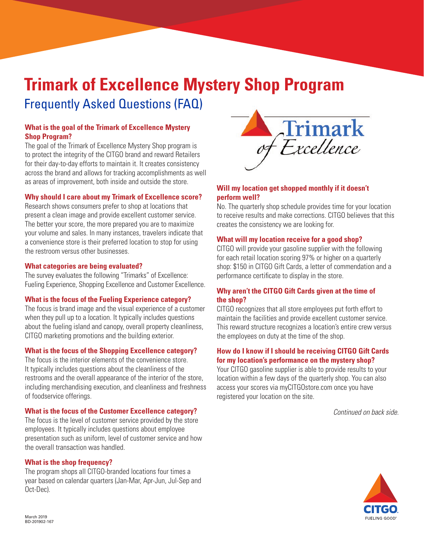# **Trimark of Excellence Mystery Shop Program** Frequently Asked Questions (FAQ)

# **What is the goal of the Trimark of Excellence Mystery Shop Program?**

The goal of the Trimark of Excellence Mystery Shop program is to protect the integrity of the CITGO brand and reward Retailers for their day-to-day efforts to maintain it. It creates consistency across the brand and allows for tracking accomplishments as well as areas of improvement, both inside and outside the store.

## **Why should I care about my Trimark of Excellence score?**

Research shows consumers prefer to shop at locations that present a clean image and provide excellent customer service. The better your score, the more prepared you are to maximize your volume and sales. In many instances, travelers indicate that a convenience store is their preferred location to stop for using the restroom versus other businesses.

#### **What categories are being evaluated?**

The survey evaluates the following "Trimarks" of Excellence: Fueling Experience, Shopping Excellence and Customer Excellence.

## **What is the focus of the Fueling Experience category?**

The focus is brand image and the visual experience of a customer when they pull up to a location. It typically includes questions about the fueling island and canopy, overall property cleanliness, CITGO marketing promotions and the building exterior.

## **What is the focus of the Shopping Excellence category?**

The focus is the interior elements of the convenience store. It typically includes questions about the cleanliness of the restrooms and the overall appearance of the interior of the store, including merchandising execution, and cleanliness and freshness of foodservice offerings.

## **What is the focus of the Customer Excellence category?**

The focus is the level of customer service provided by the store employees. It typically includes questions about employee presentation such as uniform, level of customer service and how the overall transaction was handled.

## **What is the shop frequency?**

The program shops all CITGO-branded locations four times a year based on calendar quarters (Jan-Mar, Apr-Jun, Jul-Sep and Oct-Dec).



## **Will my location get shopped monthly if it doesn't perform well?**

No. The quarterly shop schedule provides time for your location to receive results and make corrections. CITGO believes that this creates the consistency we are looking for.

### **What will my location receive for a good shop?**

CITGO will provide your gasoline supplier with the following for each retail location scoring 97% or higher on a quarterly shop: \$150 in CITGO Gift Cards, a letter of commendation and a performance certificate to display in the store.

## **Why aren't the CITGO Gift Cards given at the time of the shop?**

CITGO recognizes that all store employees put forth effort to maintain the facilities and provide excellent customer service. This reward structure recognizes a location's entire crew versus the employees on duty at the time of the shop.

## **How do I know if I should be receiving CITGO Gift Cards for my location's performance on the mystery shop?**

Your CITGO gasoline supplier is able to provide results to your location within a few days of the quarterly shop. You can also access your scores via myCITGOstore.com once you have registered your location on the site.

*Continued on back side.*